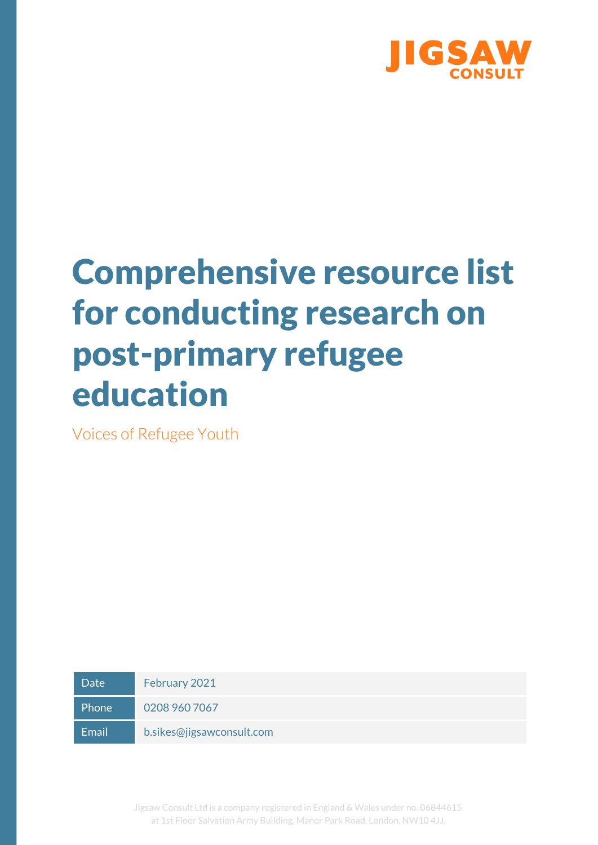

# Comprehensive resource list for conducting research on post-primary refugee education

Voices of Refugee Youth

Date February 2021 Phone 0208 960 7067 Email b.sikes@jigsawconsult.com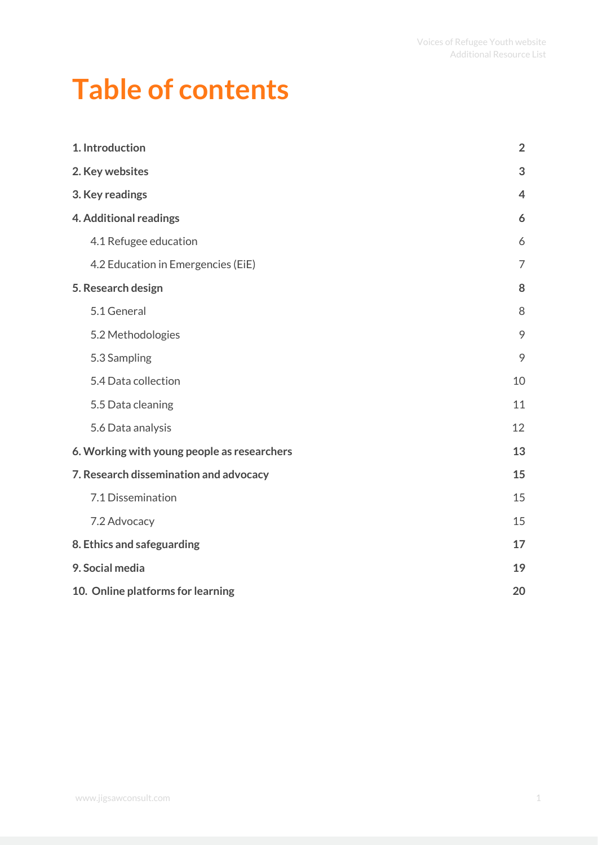### **Table of contents**

| 1. Introduction                             | $\overline{2}$ |
|---------------------------------------------|----------------|
| 2. Key websites                             | 3              |
| 3. Key readings                             | $\overline{4}$ |
| 4. Additional readings                      | 6              |
| 4.1 Refugee education                       | 6              |
| 4.2 Education in Emergencies (EiE)          | $\overline{7}$ |
| 5. Research design                          | 8              |
| 5.1 General                                 | 8              |
| 5.2 Methodologies                           | 9              |
| 5.3 Sampling                                | 9              |
| 5.4 Data collection                         | 10             |
| 5.5 Data cleaning                           | 11             |
| 5.6 Data analysis                           | 12             |
| 6. Working with young people as researchers | 13             |
| 7. Research dissemination and advocacy      | 15             |
| 7.1 Dissemination                           | 15             |
| 7.2 Advocacy                                | 15             |
| 8. Ethics and safeguarding                  | 17             |
| 9. Social media                             | 19             |
| 10. Online platforms for learning           | 20             |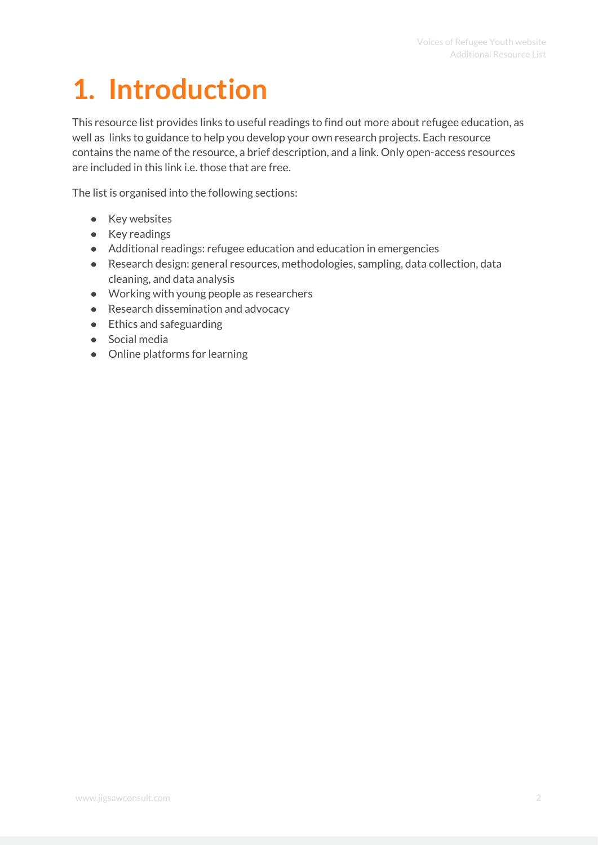# <span id="page-2-0"></span>**1. Introduction**

This resource list provides links to useful readings to find out more about refugee education, as well as links to guidance to help you develop your own research projects. Each resource contains the name of the resource, a brief description, and a link. Only open-access resources are included in this link i.e. those that are free.

The list is organised into the following sections:

- Key websites
- Key readings
- Additional readings: refugee education and education in emergencies
- Research design: general resources, methodologies, sampling, data collection, data cleaning, and data analysis
- Working with young people as researchers
- Research dissemination and advocacy
- Ethics and safeguarding
- Social media
- Online platforms for learning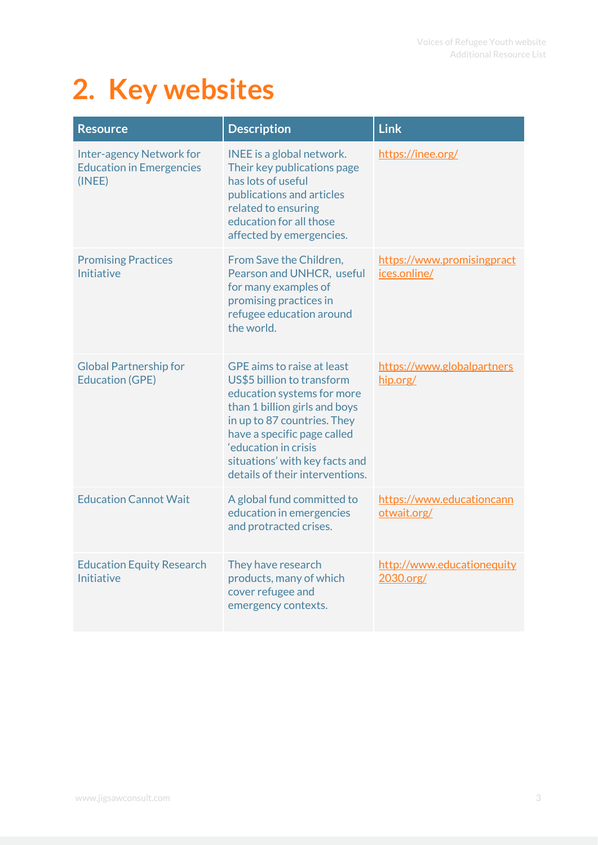### <span id="page-3-0"></span>**2. Key websites**

| <b>Resource</b>                                                              | <b>Description</b>                                                                                                                                                                                                                                                                 | <b>Link</b>                                |
|------------------------------------------------------------------------------|------------------------------------------------------------------------------------------------------------------------------------------------------------------------------------------------------------------------------------------------------------------------------------|--------------------------------------------|
| <b>Inter-agency Network for</b><br><b>Education in Emergencies</b><br>(INEE) | INEE is a global network.<br>Their key publications page<br>has lots of useful<br>publications and articles<br>related to ensuring<br>education for all those<br>affected by emergencies.                                                                                          | https://inee.org/                          |
| <b>Promising Practices</b><br>Initiative                                     | From Save the Children,<br>Pearson and UNHCR, useful<br>for many examples of<br>promising practices in<br>refugee education around<br>the world.                                                                                                                                   | https://www.promisingpract<br>ices.online/ |
| <b>Global Partnership for</b><br><b>Education (GPE)</b>                      | GPE aims to raise at least<br>US\$5 billion to transform<br>education systems for more<br>than 1 billion girls and boys<br>in up to 87 countries. They<br>have a specific page called<br>'education in crisis<br>situations' with key facts and<br>details of their interventions. | https://www.globalpartners<br>hip.org/     |
| <b>Education Cannot Wait</b>                                                 | A global fund committed to<br>education in emergencies<br>and protracted crises.                                                                                                                                                                                                   | https://www.educationcann<br>otwait.org/   |
| <b>Education Equity Research</b><br>Initiative                               | They have research<br>products, many of which<br>cover refugee and<br>emergency contexts.                                                                                                                                                                                          | http://www.educationequity<br>2030.org/    |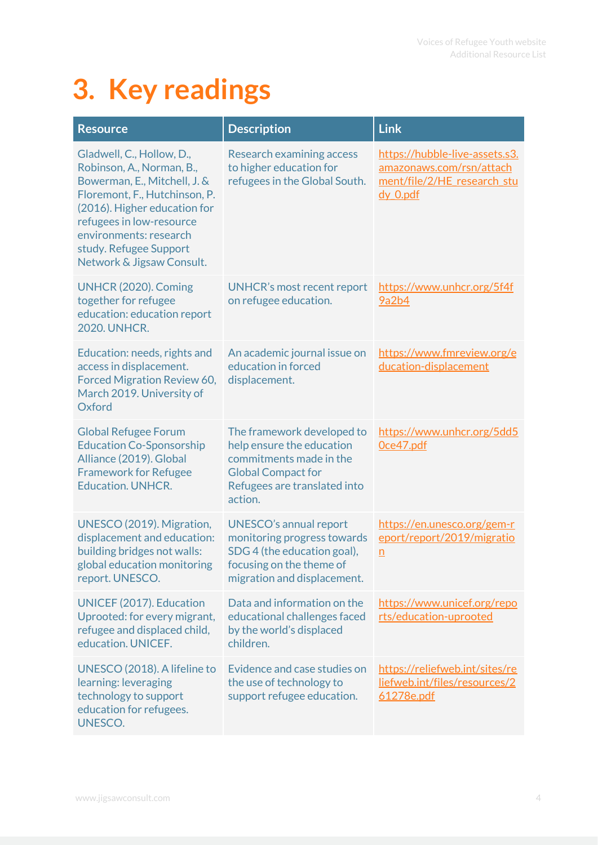## <span id="page-4-0"></span>**3. Key readings**

| <b>Resource</b>                                                                                                                                                                                                                                                      | <b>Description</b>                                                                                                                                         | <b>Link</b>                                                                                           |
|----------------------------------------------------------------------------------------------------------------------------------------------------------------------------------------------------------------------------------------------------------------------|------------------------------------------------------------------------------------------------------------------------------------------------------------|-------------------------------------------------------------------------------------------------------|
| Gladwell, C., Hollow, D.,<br>Robinson, A., Norman, B.,<br>Bowerman, E., Mitchell, J. &<br>Floremont, F., Hutchinson, P.<br>(2016). Higher education for<br>refugees in low-resource<br>environments: research<br>study. Refugee Support<br>Network & Jigsaw Consult. | <b>Research examining access</b><br>to higher education for<br>refugees in the Global South.                                                               | https://hubble-live-assets.s3.<br>amazonaws.com/rsn/attach<br>ment/file/2/HE research stu<br>dy 0.pdf |
| UNHCR (2020). Coming<br>together for refugee<br>education: education report<br><b>2020. UNHCR.</b>                                                                                                                                                                   | <b>UNHCR's most recent report</b><br>on refugee education.                                                                                                 | https://www.unhcr.org/5f4f<br>9a2b4                                                                   |
| Education: needs, rights and<br>access in displacement.<br>Forced Migration Review 60,<br>March 2019. University of<br>Oxford                                                                                                                                        | An academic journal issue on<br>education in forced<br>displacement.                                                                                       | https://www.fmreview.org/e<br>ducation-displacement                                                   |
| <b>Global Refugee Forum</b><br><b>Education Co-Sponsorship</b><br>Alliance (2019). Global<br><b>Framework for Refugee</b><br><b>Education. UNHCR.</b>                                                                                                                | The framework developed to<br>help ensure the education<br>commitments made in the<br><b>Global Compact for</b><br>Refugees are translated into<br>action. | https://www.unhcr.org/5dd5<br>Oce47.pdf                                                               |
| UNESCO (2019). Migration,<br>displacement and education:<br>building bridges not walls:<br>global education monitoring<br>report. UNESCO.                                                                                                                            | <b>UNESCO's annual report</b><br>monitoring progress towards<br>SDG 4 (the education goal),<br>focusing on the theme of<br>migration and displacement.     | https://en.unesco.org/gem-r<br>eport/report/2019/migratio<br>$\underline{n}$                          |
| UNICEF (2017). Education<br>Uprooted: for every migrant,<br>refugee and displaced child,<br>education. UNICEF.                                                                                                                                                       | Data and information on the<br>educational challenges faced<br>by the world's displaced<br>children.                                                       | https://www.unicef.org/repo<br>rts/education-uprooted                                                 |
| UNESCO (2018). A lifeline to<br>learning: leveraging<br>technology to support<br>education for refugees.<br>UNESCO.                                                                                                                                                  | Evidence and case studies on<br>the use of technology to<br>support refugee education.                                                                     | https://reliefweb.int/sites/re<br>liefweb.int/files/resources/2<br>61278e.pdf                         |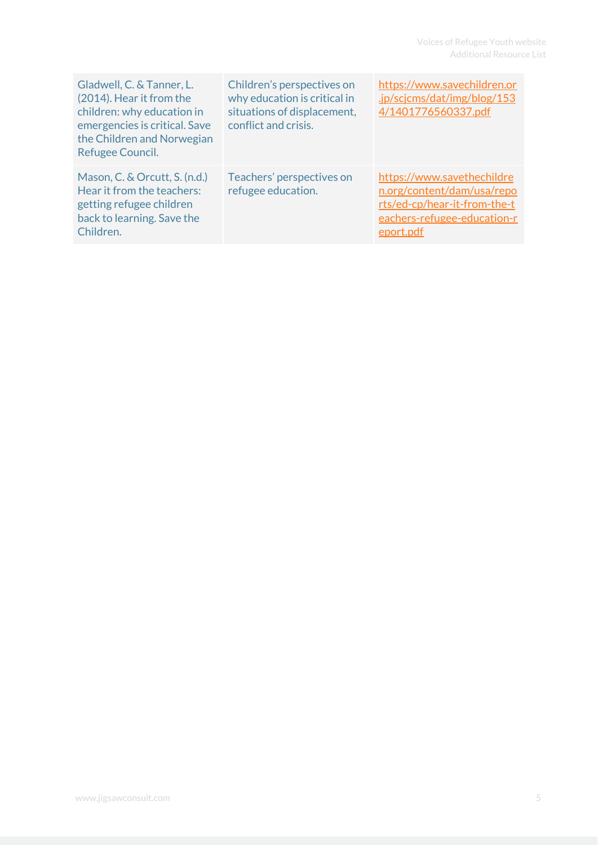| Gladwell, C. & Tanner, L.<br>(2014). Hear it from the<br>children: why education in<br>emergencies is critical. Save<br>the Children and Norwegian<br>Refugee Council. | Children's perspectives on<br>why education is critical in<br>situations of displacement,<br>conflict and crisis. | https://www.savechildren.or<br>.jp/scjcms/dat/img/blog/153<br>4/1401776560337.pdf                                                    |
|------------------------------------------------------------------------------------------------------------------------------------------------------------------------|-------------------------------------------------------------------------------------------------------------------|--------------------------------------------------------------------------------------------------------------------------------------|
| Mason, C. & Orcutt, S. (n.d.)<br>Hear it from the teachers:<br>getting refugee children<br>back to learning. Save the<br>Children.                                     | Teachers' perspectives on<br>refugee education.                                                                   | https://www.savethechildre<br>n.org/content/dam/usa/repo<br>rts/ed-cp/hear-it-from-the-t<br>eachers-refugee-education-r<br>eport.pdf |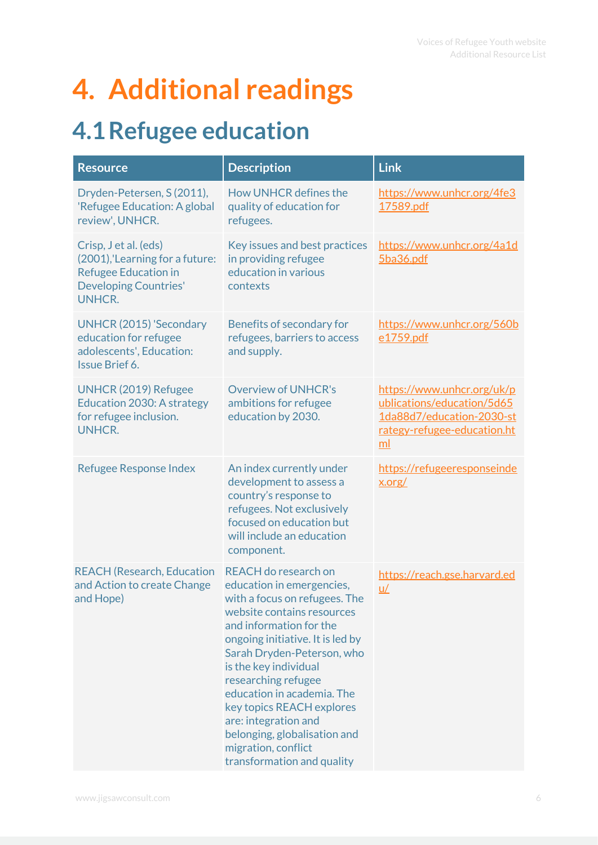### <span id="page-6-0"></span>**4. Additional readings**

#### <span id="page-6-1"></span>**4.1Refugee education**

| <b>Resource</b>                                                                                                                          | <b>Description</b>                                                                                                                                                                                                                                                                                                                                                                                                                    | <b>Link</b>                                                                                                                |
|------------------------------------------------------------------------------------------------------------------------------------------|---------------------------------------------------------------------------------------------------------------------------------------------------------------------------------------------------------------------------------------------------------------------------------------------------------------------------------------------------------------------------------------------------------------------------------------|----------------------------------------------------------------------------------------------------------------------------|
| Dryden-Petersen, S (2011),<br>'Refugee Education: A global<br>review', UNHCR.                                                            | How UNHCR defines the<br>quality of education for<br>refugees.                                                                                                                                                                                                                                                                                                                                                                        | https://www.unhcr.org/4fe3<br>17589.pdf                                                                                    |
| Crisp, J et al. (eds)<br>(2001), 'Learning for a future:<br><b>Refugee Education in</b><br><b>Developing Countries'</b><br><b>UNHCR.</b> | Key issues and best practices<br>in providing refugee<br>education in various<br>contexts                                                                                                                                                                                                                                                                                                                                             | https://www.unhcr.org/4a1d<br>5ba36.pdf                                                                                    |
| <b>UNHCR (2015) 'Secondary</b><br>education for refugee<br>adolescents', Education:<br><b>Issue Brief 6.</b>                             | Benefits of secondary for<br>refugees, barriers to access<br>and supply.                                                                                                                                                                                                                                                                                                                                                              | https://www.unhcr.org/560b<br>e1759.pdf                                                                                    |
| <b>UNHCR (2019) Refugee</b><br>Education 2030: A strategy<br>for refugee inclusion.<br><b>UNHCR.</b>                                     | <b>Overview of UNHCR's</b><br>ambitions for refugee<br>education by 2030.                                                                                                                                                                                                                                                                                                                                                             | https://www.unhcr.org/uk/p<br>ublications/education/5d65<br>1da88d7/education-2030-st<br>rategy-refugee-education.ht<br>ml |
| <b>Refugee Response Index</b>                                                                                                            | An index currently under<br>development to assess a<br>country's response to<br>refugees. Not exclusively<br>focused on education but<br>will include an education<br>component.                                                                                                                                                                                                                                                      | https://refugeeresponseinde<br>x.org/                                                                                      |
| <b>REACH (Research, Education</b><br>and Action to create Change<br>and Hope)                                                            | REACH do research on<br>education in emergencies,<br>with a focus on refugees. The<br>website contains resources<br>and information for the<br>ongoing initiative. It is led by<br>Sarah Dryden-Peterson, who<br>is the key individual<br>researching refugee<br>education in academia. The<br>key topics REACH explores<br>are: integration and<br>belonging, globalisation and<br>migration, conflict<br>transformation and quality | https://reach.gse.harvard.ed<br>$u/$                                                                                       |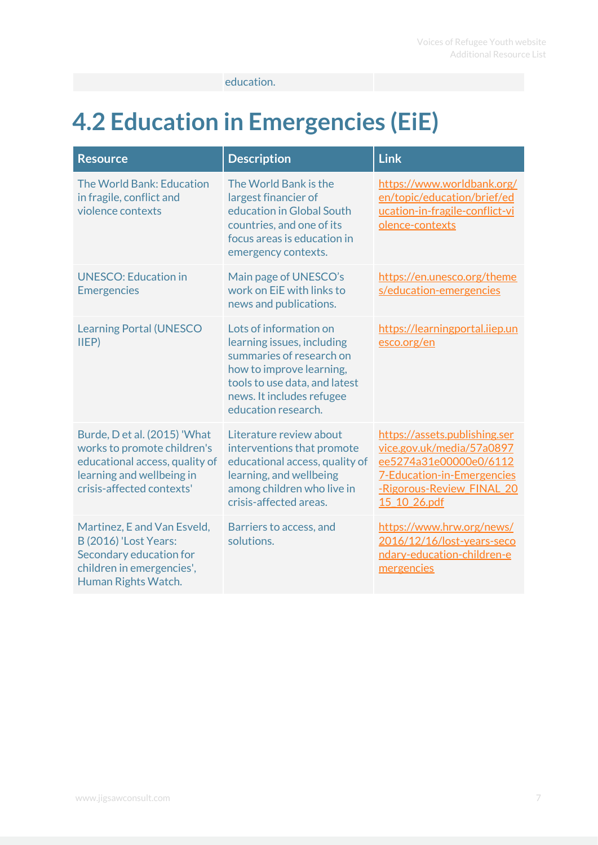education.

#### <span id="page-7-0"></span>**4.2 Education in Emergencies (EiE)**

| <b>Resource</b>                                                                                                                                         | <b>Description</b>                                                                                                                                                                                | <b>Link</b>                                                                                                                                                            |
|---------------------------------------------------------------------------------------------------------------------------------------------------------|---------------------------------------------------------------------------------------------------------------------------------------------------------------------------------------------------|------------------------------------------------------------------------------------------------------------------------------------------------------------------------|
| The World Bank: Education<br>in fragile, conflict and<br>violence contexts                                                                              | The World Bank is the<br>largest financier of<br>education in Global South<br>countries, and one of its<br>focus areas is education in<br>emergency contexts.                                     | https://www.worldbank.org/<br>en/topic/education/brief/ed<br>ucation-in-fragile-conflict-vi<br>olence-contexts                                                         |
| <b>UNESCO: Education in</b><br><b>Emergencies</b>                                                                                                       | Main page of UNESCO's<br>work on EiE with links to<br>news and publications.                                                                                                                      | https://en.unesco.org/theme<br>s/education-emergencies                                                                                                                 |
| <b>Learning Portal (UNESCO</b><br>IIEP                                                                                                                  | Lots of information on<br>learning issues, including<br>summaries of research on<br>how to improve learning,<br>tools to use data, and latest<br>news. It includes refugee<br>education research. | https://learningportal.iiep.un<br>esco.org/en                                                                                                                          |
| Burde, D et al. (2015) 'What<br>works to promote children's<br>educational access, quality of<br>learning and wellbeing in<br>crisis-affected contexts' | Literature review about<br>interventions that promote<br>educational access, quality of<br>learning, and wellbeing<br>among children who live in<br>crisis-affected areas.                        | https://assets.publishing.ser<br>vice.gov.uk/media/57a0897<br>ee5274a31e00000e0/6112<br><b>7-Education-in-Emergencies</b><br>-Rigorous-Review FINAL 20<br>15 10 26.pdf |
| Martinez, E and Van Esveld,<br><b>B</b> (2016) 'Lost Years:<br>Secondary education for<br>children in emergencies',<br>Human Rights Watch.              | Barriers to access, and<br>solutions.                                                                                                                                                             | https://www.hrw.org/news/<br>2016/12/16/lost-years-seco<br>ndary-education-children-e<br>mergencies                                                                    |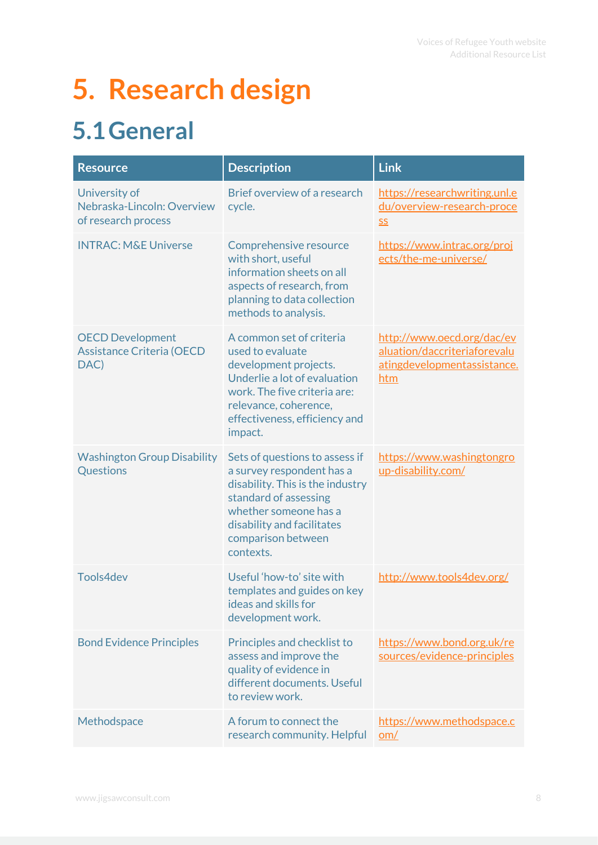# <span id="page-8-0"></span>**5. Research design**

#### <span id="page-8-1"></span>**5.1General**

| <b>Resource</b>                                                     | <b>Description</b>                                                                                                                                                                                                 | <b>Link</b>                                                                                      |
|---------------------------------------------------------------------|--------------------------------------------------------------------------------------------------------------------------------------------------------------------------------------------------------------------|--------------------------------------------------------------------------------------------------|
| University of<br>Nebraska-Lincoln: Overview<br>of research process  | Brief overview of a research<br>cycle.                                                                                                                                                                             | https://researchwriting.unl.e<br>du/overview-research-proce<br><b>SS</b>                         |
| <b>INTRAC: M&amp;E Universe</b>                                     | Comprehensive resource<br>with short, useful<br>information sheets on all<br>aspects of research, from<br>planning to data collection<br>methods to analysis.                                                      | https://www.intrac.org/proj<br>ects/the-me-universe/                                             |
| <b>OECD Development</b><br><b>Assistance Criteria (OECD</b><br>DAC) | A common set of criteria<br>used to evaluate<br>development projects.<br>Underlie a lot of evaluation<br>work. The five criteria are:<br>relevance, coherence,<br>effectiveness, efficiency and<br>impact.         | http://www.oecd.org/dac/ev<br>aluation/daccriteriaforevalu<br>atingdevelopmentassistance.<br>htm |
| <b>Washington Group Disability</b><br>Questions                     | Sets of questions to assess if<br>a survey respondent has a<br>disability. This is the industry<br>standard of assessing<br>whether someone has a<br>disability and facilitates<br>comparison between<br>contexts. | https://www.washingtongro<br>up-disability.com/                                                  |
| Tools4dev                                                           | Useful 'how-to' site with<br>templates and guides on key<br>ideas and skills for<br>development work.                                                                                                              | http://www.tools4dev.org/                                                                        |
| <b>Bond Evidence Principles</b>                                     | Principles and checklist to<br>assess and improve the<br>quality of evidence in<br>different documents. Useful<br>to review work.                                                                                  | https://www.bond.org.uk/re<br>sources/evidence-principles                                        |
| Methodspace                                                         | A forum to connect the<br>research community. Helpful                                                                                                                                                              | https://www.methodspace.c<br>om/                                                                 |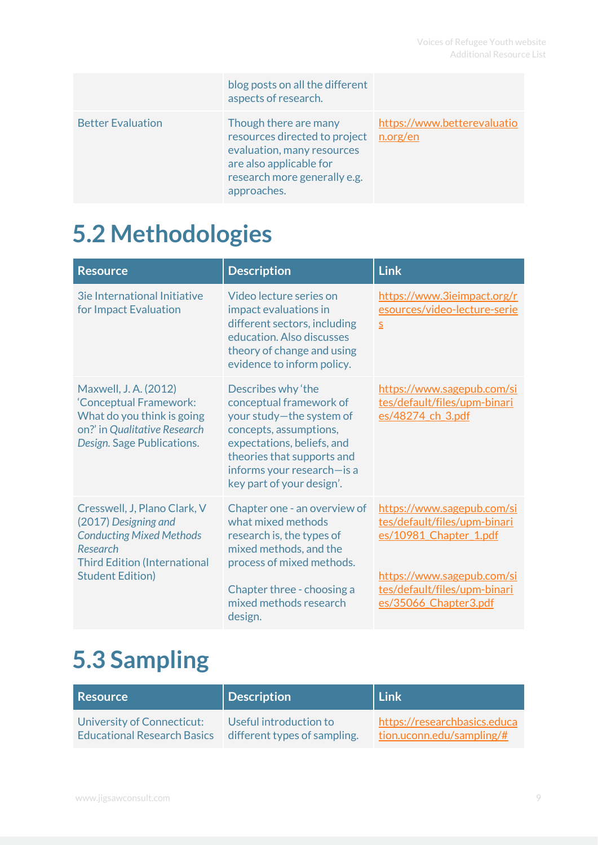|                          | blog posts on all the different<br>aspects of research.                                                                                                        |                                         |
|--------------------------|----------------------------------------------------------------------------------------------------------------------------------------------------------------|-----------------------------------------|
| <b>Better Evaluation</b> | Though there are many<br>resources directed to project<br>evaluation, many resources<br>are also applicable for<br>research more generally e.g.<br>approaches. | https://www.betterevaluatio<br>n.org/en |

#### <span id="page-9-0"></span>**5.2 Methodologies**

| <b>Resource</b>                                                                                                                                                       | <b>Description</b>                                                                                                                                                                                                         | <b>Link</b>                                                                                                                                                                 |
|-----------------------------------------------------------------------------------------------------------------------------------------------------------------------|----------------------------------------------------------------------------------------------------------------------------------------------------------------------------------------------------------------------------|-----------------------------------------------------------------------------------------------------------------------------------------------------------------------------|
| <b>3ie International Initiative</b><br>for Impact Evaluation                                                                                                          | Video lecture series on<br>impact evaluations in<br>different sectors, including<br>education. Also discusses<br>theory of change and using<br>evidence to inform policy.                                                  | https://www.3ieimpact.org/r<br>esources/video-lecture-serie<br>$\overline{S}$                                                                                               |
| Maxwell, J.A. (2012)<br>'Conceptual Framework:<br>What do you think is going<br>on?' in Qualitative Research<br>Design. Sage Publications.                            | Describes why 'the<br>conceptual framework of<br>your study-the system of<br>concepts, assumptions,<br>expectations, beliefs, and<br>theories that supports and<br>informs your research-is a<br>key part of your design'. | https://www.sagepub.com/si<br>tes/default/files/upm-binari<br>es/48274 ch 3.pdf                                                                                             |
| Cresswell, J, Plano Clark, V<br>(2017) Designing and<br><b>Conducting Mixed Methods</b><br>Research<br><b>Third Edition (International</b><br><b>Student Edition)</b> | Chapter one - an overview of<br>what mixed methods<br>research is, the types of<br>mixed methods, and the<br>process of mixed methods.<br>Chapter three - choosing a<br>mixed methods research<br>design.                  | https://www.sagepub.com/si<br>tes/default/files/upm-binari<br>es/10981 Chapter 1.pdf<br>https://www.sagepub.com/si<br>tes/default/files/upm-binari<br>es/35066 Chapter3.pdf |

#### <span id="page-9-1"></span>**5.3 Sampling**

| Resource                           | <b>Description</b>           | Link                         |
|------------------------------------|------------------------------|------------------------------|
| University of Connecticut:         | Useful introduction to       | https://researchbasics.educa |
| <b>Educational Research Basics</b> | different types of sampling. | $tion.uconn.edu/sampling/\#$ |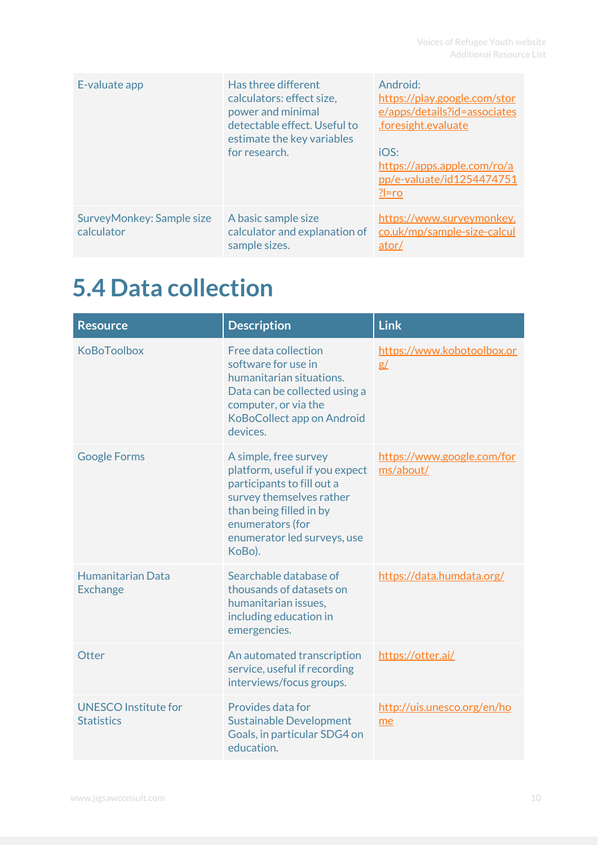| E-valuate app                           | Has three different<br>calculators: effect size,<br>power and minimal<br>detectable effect. Useful to<br>estimate the key variables<br>for research. | Android:<br>https://play.google.com/stor<br>e/apps/details?id=associates<br>.foresight.evaluate<br>IOS:<br>https://apps.apple.com/ro/a<br>pp/e-valuate/id1254474751<br>$?$ = ro |
|-----------------------------------------|------------------------------------------------------------------------------------------------------------------------------------------------------|---------------------------------------------------------------------------------------------------------------------------------------------------------------------------------|
| SurveyMonkey: Sample size<br>calculator | A basic sample size<br>calculator and explanation of<br>sample sizes.                                                                                | https://www.surveymonkey.<br>co.uk/mp/sample-size-calcul<br>ator/                                                                                                               |

#### <span id="page-10-0"></span>**5.4 Data collection**

| <b>Resource</b>                                  | <b>Description</b>                                                                                                                                                                                        | <b>Link</b>                             |
|--------------------------------------------------|-----------------------------------------------------------------------------------------------------------------------------------------------------------------------------------------------------------|-----------------------------------------|
| KoBoToolbox                                      | Free data collection<br>software for use in<br>humanitarian situations.<br>Data can be collected using a<br>computer, or via the<br>KoBoCollect app on Android<br>devices.                                | https://www.kobotoolbox.or<br>g/        |
| <b>Google Forms</b>                              | A simple, free survey<br>platform, useful if you expect<br>participants to fill out a<br>survey themselves rather<br>than being filled in by<br>enumerators (for<br>enumerator led surveys, use<br>KoBo). | https://www.google.com/for<br>ms/about/ |
| Humanitarian Data<br><b>Exchange</b>             | Searchable database of<br>thousands of datasets on<br>humanitarian issues,<br>including education in<br>emergencies.                                                                                      | https://data.humdata.org/               |
| Otter                                            | An automated transcription<br>service, useful if recording<br>interviews/focus groups.                                                                                                                    | https://otter.ai/                       |
| <b>UNESCO Institute for</b><br><b>Statistics</b> | Provides data for<br><b>Sustainable Development</b><br>Goals, in particular SDG4 on<br>education.                                                                                                         | http://uis.unesco.org/en/ho<br>me       |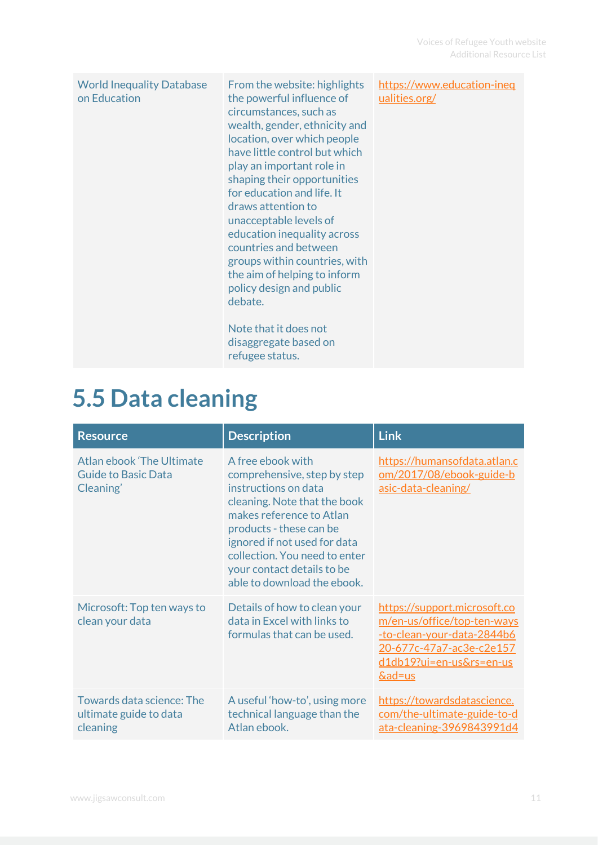| <b>World Inequality Database</b><br>on Education | From the website: highlights<br>the powerful influence of<br>circumstances, such as<br>wealth, gender, ethnicity and<br>location, over which people<br>have little control but which<br>play an important role in<br>shaping their opportunities<br>for education and life. It<br>draws attention to<br>unacceptable levels of<br>education inequality across<br>countries and between<br>groups within countries, with<br>the aim of helping to inform<br>policy design and public<br>debate.<br>Note that it does not<br>disaggregate based on<br>refugee status. | https://www.education-ineq<br>ualities.org/ |
|--------------------------------------------------|---------------------------------------------------------------------------------------------------------------------------------------------------------------------------------------------------------------------------------------------------------------------------------------------------------------------------------------------------------------------------------------------------------------------------------------------------------------------------------------------------------------------------------------------------------------------|---------------------------------------------|
|--------------------------------------------------|---------------------------------------------------------------------------------------------------------------------------------------------------------------------------------------------------------------------------------------------------------------------------------------------------------------------------------------------------------------------------------------------------------------------------------------------------------------------------------------------------------------------------------------------------------------------|---------------------------------------------|

#### <span id="page-11-0"></span>**5.5 Data cleaning**

| <b>Resource</b>                                                      | <b>Description</b>                                                                                                                                                                                                                                                                            | <b>Link</b>                                                                                                                                                            |
|----------------------------------------------------------------------|-----------------------------------------------------------------------------------------------------------------------------------------------------------------------------------------------------------------------------------------------------------------------------------------------|------------------------------------------------------------------------------------------------------------------------------------------------------------------------|
| Atlan ebook 'The Ultimate<br><b>Guide to Basic Data</b><br>Cleaning' | A free ebook with<br>comprehensive, step by step<br>instructions on data<br>cleaning. Note that the book<br>makes reference to Atlan<br>products - these can be<br>ignored if not used for data<br>collection. You need to enter<br>your contact details to be<br>able to download the ebook. | https://humansofdata.atlan.c<br>om/2017/08/ebook-guide-b<br>asic-data-cleaning/                                                                                        |
| Microsoft: Top ten ways to<br>clean your data                        | Details of how to clean your<br>data in Excel with links to<br>formulas that can be used.                                                                                                                                                                                                     | https://support.microsoft.co<br>m/en-us/office/top-ten-ways<br>-to-clean-your-data-2844b6<br>20-677c-47a7-ac3e-c2e157<br>d1db19?ui=en-us&rs=en-us<br><u>&amp;ad=us</u> |
| Towards data science: The<br>ultimate guide to data<br>cleaning      | A useful 'how-to', using more<br>technical language than the<br>Atlan ebook.                                                                                                                                                                                                                  | https://towardsdatascience.<br>com/the-ultimate-guide-to-d<br>ata-cleaning-3969843991d4                                                                                |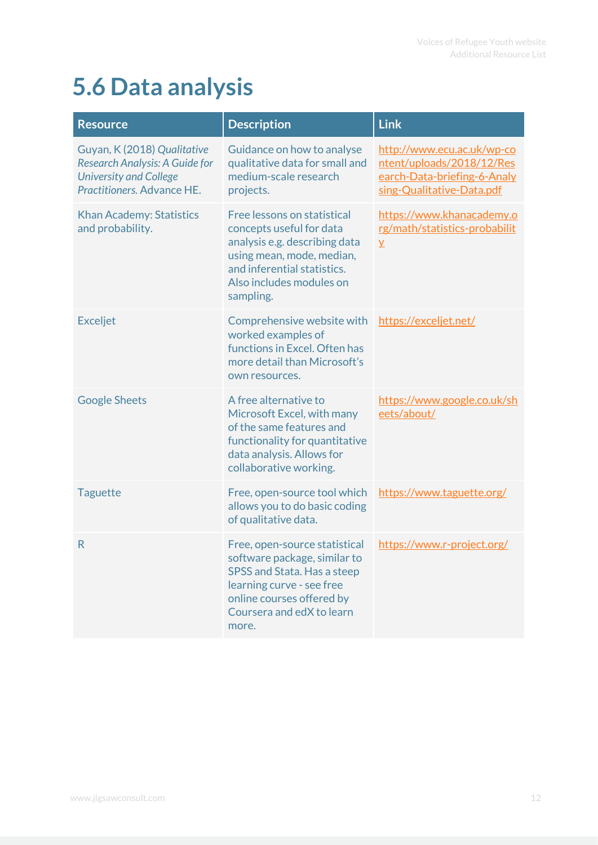#### <span id="page-12-0"></span>**5.6 Data analysis**

| <b>Resource</b>                                                                                                              | <b>Description</b>                                                                                                                                                                            | <b>Link</b>                                                                                                         |
|------------------------------------------------------------------------------------------------------------------------------|-----------------------------------------------------------------------------------------------------------------------------------------------------------------------------------------------|---------------------------------------------------------------------------------------------------------------------|
| Guyan, K (2018) Qualitative<br>Research Analysis: A Guide for<br><b>University and College</b><br>Practitioners. Advance HE. | Guidance on how to analyse<br>qualitative data for small and<br>medium-scale research<br>projects.                                                                                            | http://www.ecu.ac.uk/wp-co<br>ntent/uploads/2018/12/Res<br>earch-Data-briefing-6-Analy<br>sing-Qualitative-Data.pdf |
| <b>Khan Academy: Statistics</b><br>and probability.                                                                          | Free lessons on statistical<br>concepts useful for data<br>analysis e.g. describing data<br>using mean, mode, median,<br>and inferential statistics.<br>Also includes modules on<br>sampling. | https://www.khanacademy.o<br>rg/math/statistics-probabilit<br>$\overline{Y}$                                        |
| <b>Exceljet</b>                                                                                                              | Comprehensive website with<br>worked examples of<br>functions in Excel. Often has<br>more detail than Microsoft's<br>own resources.                                                           | https://exceljet.net/                                                                                               |
| <b>Google Sheets</b>                                                                                                         | A free alternative to<br>Microsoft Excel, with many<br>of the same features and<br>functionality for quantitative<br>data analysis. Allows for<br>collaborative working.                      | https://www.google.co.uk/sh<br>eets/about/                                                                          |
| <b>Taguette</b>                                                                                                              | Free, open-source tool which<br>allows you to do basic coding<br>of qualitative data.                                                                                                         | https://www.taguette.org/                                                                                           |
| R                                                                                                                            | Free, open-source statistical<br>software package, similar to<br>SPSS and Stata. Has a steep<br>learning curve - see free<br>online courses offered by<br>Coursera and edX to learn<br>more.  | https://www.r-project.org/                                                                                          |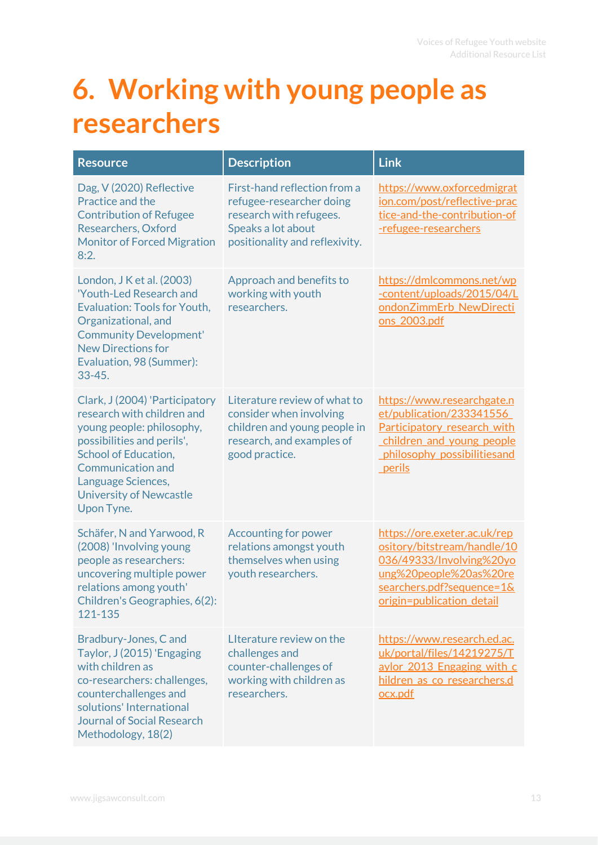### <span id="page-13-0"></span>**6. Working with young people as researchers**

| <b>Resource</b>                                                                                                                                                                                                                                          | <b>Description</b>                                                                                                                          | <b>Link</b>                                                                                                                                                                 |
|----------------------------------------------------------------------------------------------------------------------------------------------------------------------------------------------------------------------------------------------------------|---------------------------------------------------------------------------------------------------------------------------------------------|-----------------------------------------------------------------------------------------------------------------------------------------------------------------------------|
| Dag, V (2020) Reflective<br>Practice and the<br><b>Contribution of Refugee</b><br>Researchers, Oxford<br><b>Monitor of Forced Migration</b><br>8:2.                                                                                                      | First-hand reflection from a<br>refugee-researcher doing<br>research with refugees.<br>Speaks a lot about<br>positionality and reflexivity. | https://www.oxforcedmigrat<br>ion.com/post/reflective-prac<br>tice-and-the-contribution-of<br>-refugee-researchers                                                          |
| London, J K et al. (2003)<br>'Youth-Led Research and<br><b>Evaluation: Tools for Youth,</b><br>Organizational, and<br><b>Community Development'</b><br><b>New Directions for</b><br>Evaluation, 98 (Summer):<br>$33 - 45.$                               | Approach and benefits to<br>working with youth<br>researchers.                                                                              | https://dmlcommons.net/wp<br>-content/uploads/2015/04/L<br>ondonZimmErb NewDirecti<br>ons 2003.pdf                                                                          |
| Clark, J (2004) 'Participatory<br>research with children and<br>young people: philosophy,<br>possibilities and perils',<br><b>School of Education,</b><br><b>Communication and</b><br>Language Sciences,<br><b>University of Newcastle</b><br>Upon Tyne. | Literature review of what to<br>consider when involving<br>children and young people in<br>research, and examples of<br>good practice.      | https://www.researchgate.n<br>et/publication/233341556<br>Participatory research with<br>children and young people<br>philosophy possibilitiesand<br>perils                 |
| Schäfer, N and Yarwood, R<br>(2008) 'Involving young<br>people as researchers:<br>uncovering multiple power<br>relations among youth'<br>Children's Geographies, 6(2):<br>121-135                                                                        | <b>Accounting for power</b><br>relations amongst youth<br>themselves when using<br>youth researchers.                                       | https://ore.exeter.ac.uk/rep<br>ository/bitstream/handle/10<br>036/49333/Involving%20yo<br>ung%20people%20as%20re<br>searchers.pdf?sequence=1&<br>origin=publication detail |
| Bradbury-Jones, C and<br>Taylor, J (2015) 'Engaging<br>with children as<br>co-researchers: challenges,<br>counterchallenges and<br>solutions' International<br><b>Journal of Social Research</b><br>Methodology, 18(2)                                   | Literature review on the<br>challenges and<br>counter-challenges of<br>working with children as<br>researchers.                             | https://www.research.ed.ac.<br>uk/portal/files/14219275/T<br>aylor 2013 Engaging with c<br>hildren as co researchers.d<br>ocx.pdf                                           |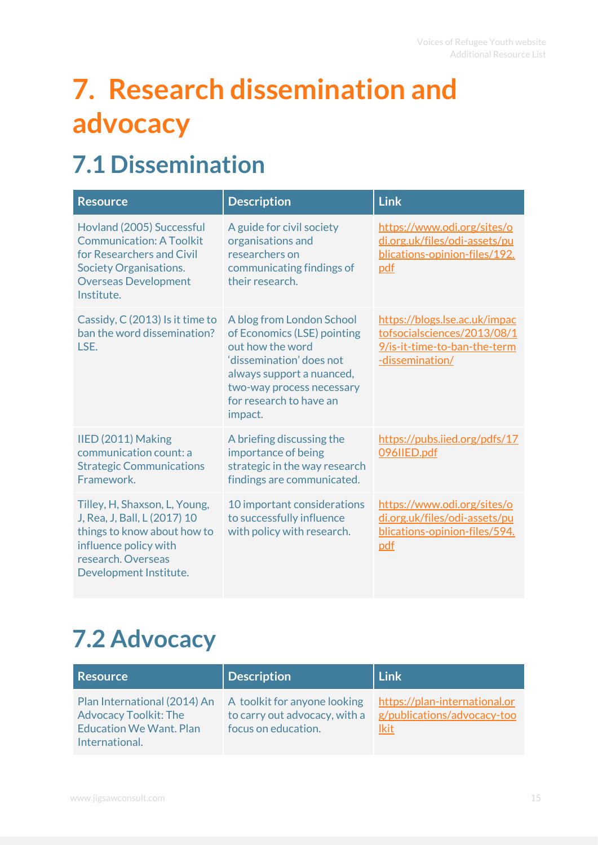# <span id="page-15-0"></span>**7. Research dissemination and advocacy**

#### <span id="page-15-1"></span>**7.1 Dissemination**

| <b>Resource</b>                                                                                                                                                         | <b>Description</b>                                                                                                                                                                                       | <b>Link</b>                                                                                                     |
|-------------------------------------------------------------------------------------------------------------------------------------------------------------------------|----------------------------------------------------------------------------------------------------------------------------------------------------------------------------------------------------------|-----------------------------------------------------------------------------------------------------------------|
| Hovland (2005) Successful<br><b>Communication: A Toolkit</b><br>for Researchers and Civil<br><b>Society Organisations.</b><br><b>Overseas Development</b><br>Institute. | A guide for civil society<br>organisations and<br>researchers on<br>communicating findings of<br>their research.                                                                                         | https://www.odi.org/sites/o<br>di.org.uk/files/odi-assets/pu<br>blications-opinion-files/192.<br>pdf            |
| Cassidy, C (2013) Is it time to<br>ban the word dissemination?<br>LSE.                                                                                                  | A blog from London School<br>of Economics (LSE) pointing<br>out how the word<br>'dissemination' does not<br>always support a nuanced,<br>two-way process necessary<br>for research to have an<br>impact. | https://blogs.lse.ac.uk/impac<br>tofsocialsciences/2013/08/1<br>9/is-it-time-to-ban-the-term<br>-dissemination/ |
| IIED (2011) Making<br>communication count: a<br><b>Strategic Communications</b><br>Framework.                                                                           | A briefing discussing the<br>importance of being<br>strategic in the way research<br>findings are communicated.                                                                                          | https://pubs.iied.org/pdfs/17<br>096IIED.pdf                                                                    |
| Tilley, H, Shaxson, L, Young,<br>J, Rea, J, Ball, L (2017) 10<br>things to know about how to<br>influence policy with<br>research. Overseas<br>Development Institute.   | 10 important considerations<br>to successfully influence<br>with policy with research.                                                                                                                   | https://www.odi.org/sites/o<br>di.org.uk/files/odi-assets/pu<br>blications-opinion-files/594.<br>pdf            |

#### <span id="page-15-2"></span>**7.2 Advocacy**

| <b>Resource</b>                                                                                                  | <b>Description</b>                                                                   | Link                                                                        |
|------------------------------------------------------------------------------------------------------------------|--------------------------------------------------------------------------------------|-----------------------------------------------------------------------------|
| Plan International (2014) An<br><b>Advocacy Toolkit: The</b><br><b>Education We Want, Plan</b><br>International. | A toolkit for anyone looking<br>to carry out advocacy, with a<br>focus on education. | https://plan-international.or<br>g/publications/advocacy-too<br><b>Ikit</b> |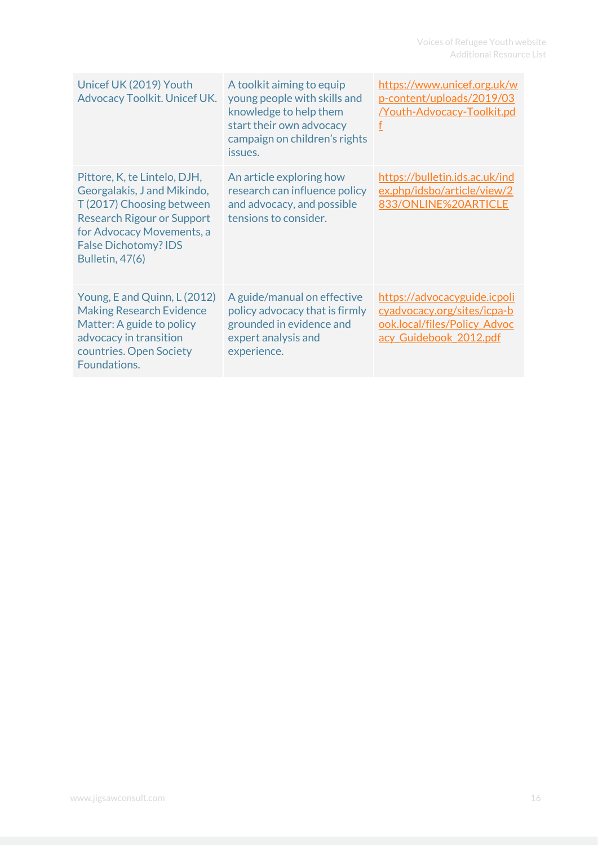| Unicef UK (2019) Youth<br>Advocacy Toolkit. Unicef UK.                                                                                                                                                              | A toolkit aiming to equip<br>young people with skills and<br>knowledge to help them<br>start their own advocacy<br>campaign on children's rights<br>issues. | https://www.unicef.org.uk/w<br>p-content/uploads/2019/03<br><b>Youth-Advocacy-Toolkit.pd</b><br>f                     |
|---------------------------------------------------------------------------------------------------------------------------------------------------------------------------------------------------------------------|-------------------------------------------------------------------------------------------------------------------------------------------------------------|-----------------------------------------------------------------------------------------------------------------------|
| Pittore, K, te Lintelo, DJH,<br>Georgalakis, J and Mikindo,<br>T (2017) Choosing between<br><b>Research Rigour or Support</b><br>for Advocacy Movements, a<br><b>False Dichotomy? IDS</b><br><b>Bulletin, 47(6)</b> | An article exploring how<br>research can influence policy<br>and advocacy, and possible<br>tensions to consider.                                            | https://bulletin.ids.ac.uk/ind<br>ex.php/idsbo/article/view/2<br>833/ONLINE%20ARTICLE                                 |
| Young, E and Quinn, L (2012)<br><b>Making Research Evidence</b><br>Matter: A guide to policy<br>advocacy in transition<br>countries. Open Society<br>Foundations.                                                   | A guide/manual on effective<br>policy advocacy that is firmly<br>grounded in evidence and<br>expert analysis and<br>experience.                             | https://advocacyguide.icpoli<br>cyadvocacy.org/sites/icpa-b<br>ook.local/files/Policy Advoc<br>acy Guidebook 2012.pdf |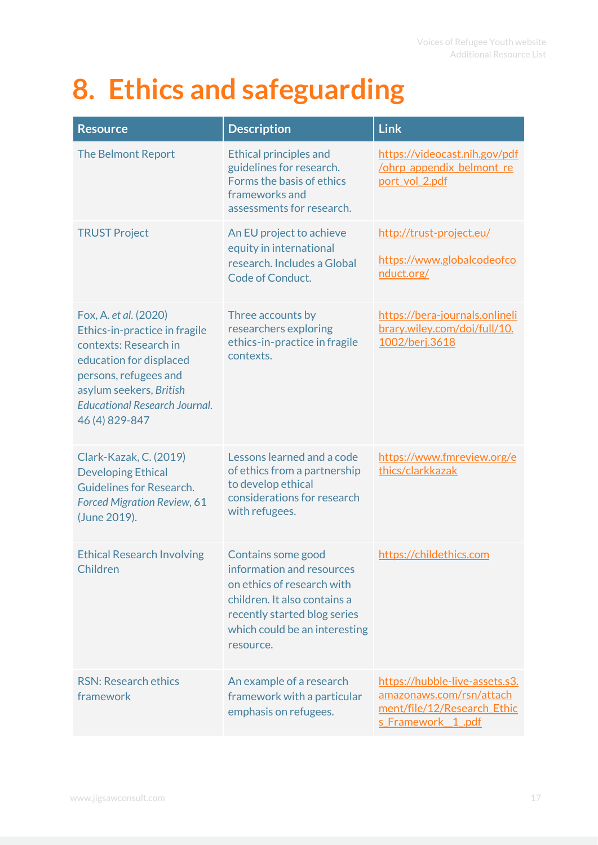# <span id="page-17-0"></span>**8. Ethics and safeguarding**

| <b>Resource</b>                                                                                                                                                                                                          | <b>Description</b>                                                                                                                                                                          | <b>Link</b>                                                                                                     |
|--------------------------------------------------------------------------------------------------------------------------------------------------------------------------------------------------------------------------|---------------------------------------------------------------------------------------------------------------------------------------------------------------------------------------------|-----------------------------------------------------------------------------------------------------------------|
| <b>The Belmont Report</b>                                                                                                                                                                                                | <b>Ethical principles and</b><br>guidelines for research.<br>Forms the basis of ethics<br>frameworks and<br>assessments for research.                                                       | https://videocast.nih.gov/pdf<br><b>/ohrp appendix belmont re</b><br>port vol 2.pdf                             |
| <b>TRUST Project</b>                                                                                                                                                                                                     | An EU project to achieve<br>equity in international<br>research. Includes a Global<br>Code of Conduct.                                                                                      | http://trust-project.eu/<br>https://www.globalcodeofco<br>nduct.org/                                            |
| Fox, A. et al. (2020)<br>Ethics-in-practice in fragile<br>contexts: Research in<br>education for displaced<br>persons, refugees and<br>asylum seekers, British<br><b>Educational Research Journal.</b><br>46 (4) 829-847 | Three accounts by<br>researchers exploring<br>ethics-in-practice in fragile<br>contexts.                                                                                                    | https://bera-journals.onlineli<br>brary.wiley.com/doi/full/10.<br>1002/berj.3618                                |
| Clark-Kazak, C. (2019)<br><b>Developing Ethical</b><br>Guidelines for Research.<br><b>Forced Migration Review, 61</b><br>(June 2019).                                                                                    | Lessons learned and a code<br>of ethics from a partnership<br>to develop ethical<br>considerations for research<br>with refugees.                                                           | https://www.fmreview.org/e<br>thics/clarkkazak                                                                  |
| <b>Ethical Research Involving</b><br>Children                                                                                                                                                                            | Contains some good<br>information and resources<br>on ethics of research with<br>children. It also contains a<br>recently started blog series<br>which could be an interesting<br>resource. | https://childethics.com                                                                                         |
| <b>RSN: Research ethics</b><br>framework                                                                                                                                                                                 | An example of a research<br>framework with a particular<br>emphasis on refugees.                                                                                                            | https://hubble-live-assets.s3.<br>amazonaws.com/rsn/attach<br>ment/file/12/Research Ethic<br>s Framework 1 .pdf |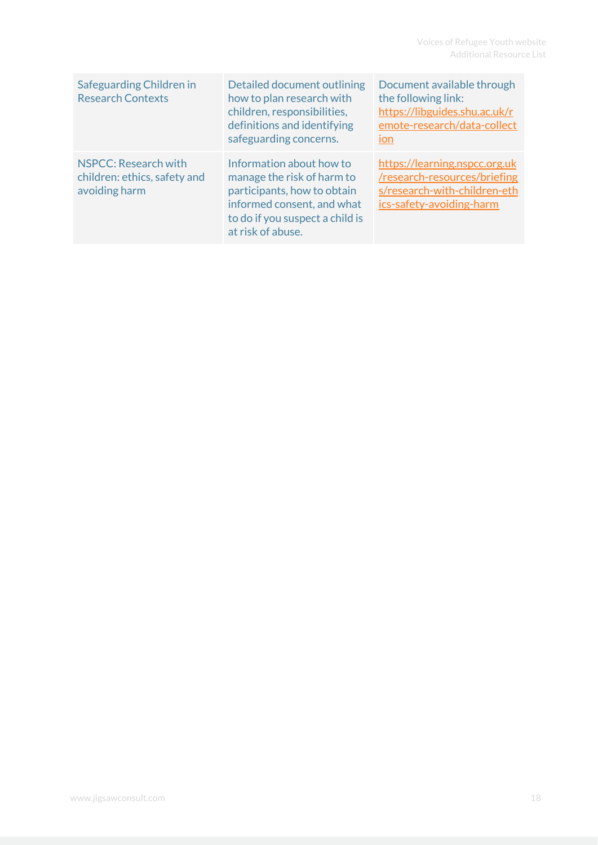| Safeguarding Children in<br><b>Research Contexts</b>                  | Detailed document outlining<br>how to plan research with<br>children, responsibilities,<br>definitions and identifying<br>safeguarding concerns.                            | Document available through<br>the following link:<br>https://libguides.shu.ac.uk/r<br>emote-research/data-collect<br><b>ION</b> |
|-----------------------------------------------------------------------|-----------------------------------------------------------------------------------------------------------------------------------------------------------------------------|---------------------------------------------------------------------------------------------------------------------------------|
| NSPCC: Research with<br>children: ethics, safety and<br>avoiding harm | Information about how to<br>manage the risk of harm to<br>participants, how to obtain<br>informed consent, and what<br>to do if you suspect a child is<br>at risk of abuse. | https://learning.nspcc.org.uk<br>/research-resources/briefing<br>s/research-with-children-eth<br>ics-safety-avoiding-harm       |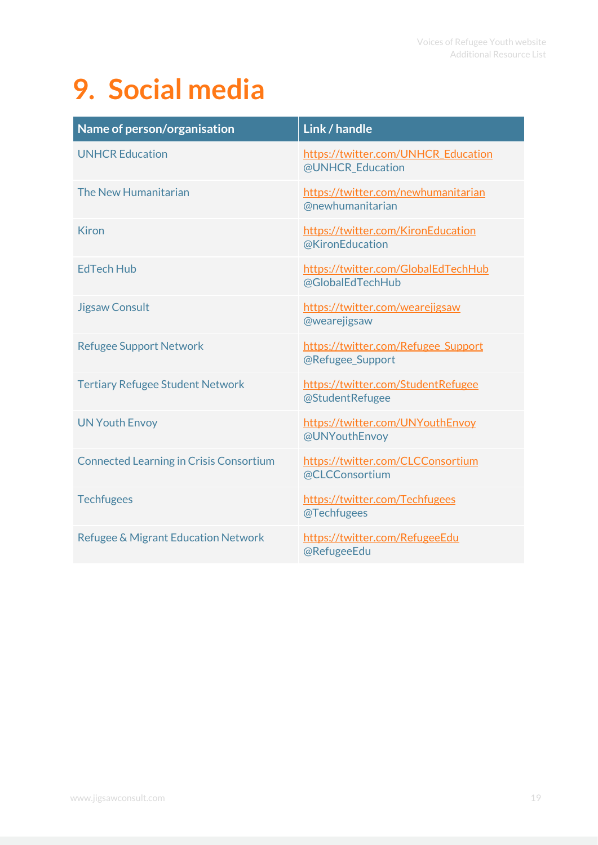# <span id="page-19-0"></span>**9. Social media**

| Name of person/organisation                    | Link / handle                                           |
|------------------------------------------------|---------------------------------------------------------|
| <b>UNHCR Education</b>                         | https://twitter.com/UNHCR Education<br>@UNHCR Education |
| The New Humanitarian                           | https://twitter.com/newhumanitarian<br>@newhumanitarian |
| <b>Kiron</b>                                   | https://twitter.com/KironEducation<br>@KironEducation   |
| <b>EdTech Hub</b>                              | https://twitter.com/GlobalEdTechHub<br>@GlobalEdTechHub |
| <b>Jigsaw Consult</b>                          | https://twitter.com/wearejigsaw<br>@wearejigsaw         |
| <b>Refugee Support Network</b>                 | https://twitter.com/Refugee Support<br>@Refugee Support |
| <b>Tertiary Refugee Student Network</b>        | https://twitter.com/StudentRefugee<br>@StudentRefugee   |
| <b>UN Youth Envoy</b>                          | https://twitter.com/UNYouthEnvoy<br>@UNYouthEnvoy       |
| <b>Connected Learning in Crisis Consortium</b> | https://twitter.com/CLCConsortium<br>@CLCConsortium     |
| <b>Techfugees</b>                              | https://twitter.com/Techfugees<br>@Techfugees           |
| Refugee & Migrant Education Network            | https://twitter.com/RefugeeEdu<br>@RefugeeEdu           |